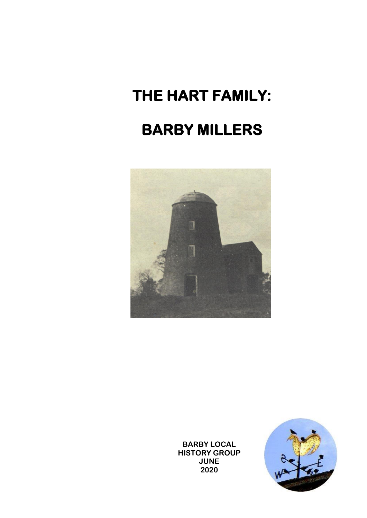# **THE HART FAMILY: BARBY MILLERS**



**BARBY LOCAL HISTORY GROUP JUNE 2020**

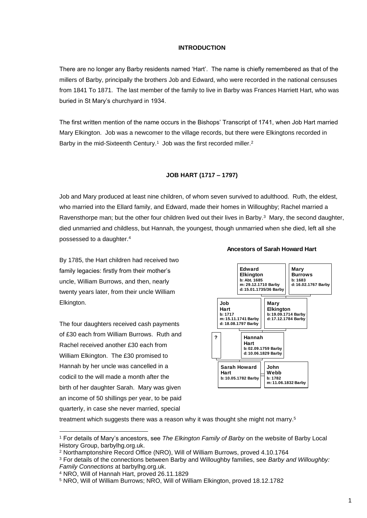#### **INTRODUCTION**

There are no longer any Barby residents named 'Hart'. The name is chiefly remembered as that of the millers of Barby, principally the brothers Job and Edward, who were recorded in the national censuses from 1841 To 1871. The last member of the family to live in Barby was Frances Harriett Hart, who was buried in St Mary's churchyard in 1934.

The first written mention of the name occurs in the Bishops' Transcript of 1741, when Job Hart married Mary Elkington. Job was a newcomer to the village records, but there were Elkingtons recorded in Barby in the mid-Sixteenth Century.<sup>1</sup> Job was the first recorded miller.<sup>2</sup>

#### **JOB HART (1717 – 1797)**

Job and Mary produced at least nine children, of whom seven survived to adulthood. Ruth, the eldest, who married into the Ellard family, and Edward, made their homes in Willoughby; Rachel married a Ravensthorpe man; but the other four children lived out their lives in Barby.<sup>3</sup> Mary, the second daughter, died unmarried and childless, but Hannah, the youngest, though unmarried when she died, left all she possessed to a daughter.<sup>4</sup>

By 1785, the Hart children had received two family legacies: firstly from their mother's uncle, William Burrows, and then, nearly twenty years later, from their uncle William Elkington.

The four daughters received cash payments of £30 each from William Burrows. Ruth and Rachel received another £30 each from William Elkington. The £30 promised to Hannah by her uncle was cancelled in a codicil to the will made a month after the birth of her daughter Sarah. Mary was given an income of 50 shillings per year, to be paid quarterly, in case she never married, special



**Ancestors of Sarah Howard Hart**

treatment which suggests there was a reason why it was thought she might not marry.<sup>5</sup>

<sup>1</sup> For details of Mary's ancestors, see *The Elkington Family of Barby* on the website of Barby Local History Group, barbylhg.org.uk.

<sup>2</sup> Northamptonshire Record Office (NRO), Will of William Burrows, proved 4.10.1764

<sup>3</sup> For details of the connections between Barby and Willoughby families, see *Barby and Willoughby: Family Connections* at barbylhg.org.uk.

<sup>4</sup> NRO, Will of Hannah Hart, proved 26.11.1829

<sup>5</sup> NRO, Will of William Burrows; NRO, Will of William Elkington, proved 18.12.1782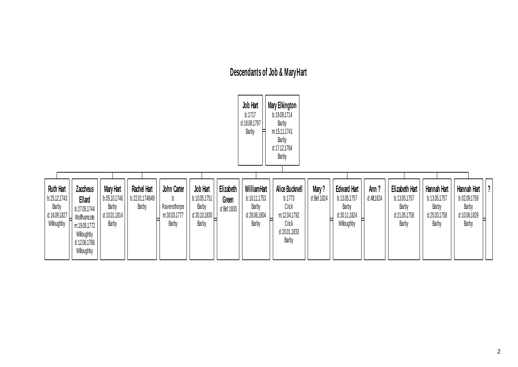# **Descendants of Job & Mary Hart**



| <b>Ruth Hart</b>              | <b>Zaccheus</b> | <b>Mary Hart</b> | <b>Rachel Hart</b> | John Carter  | Job Hart     | Elizabeth    | WilliamHart  | Alice Bucknell | Mary?        | <b>Edward Hart</b> | Ann ?       | Elizabeth Hart | Hannah Hart  | Hannah Hart  |
|-------------------------------|-----------------|------------------|--------------------|--------------|--------------|--------------|--------------|----------------|--------------|--------------------|-------------|----------------|--------------|--------------|
| b:25.12.1743                  | Ellard          | b:05.10.1746     | b:22.01.1748/49    |              | b:10.05.1751 | Green        | b:16.11.1753 | b:1773         | d: Bef. 1824 | b:13.05.1757       | d: Aft.1824 | b:13.05.1757   | b:13.05.1757 | b:02.09.1759 |
| Barby                         | b:27.05.1744    | Barby            | Barby              | Ravensthorpe | Barby        | d: Bef. 1830 | Barby        | Crick          |              | Barby              |             | Barby          | Barby        | Barby        |
| $\left  \right $ d:16.09.1827 | Wolfhamcote     | d:10.01.1814     |                    | m:30.03.1777 | d:30.10.1830 |              | d:28.06.1804 | m:12.04.1792   |              | d:30.11.1824       |             | d:21.05.1758   | d:25.03.1758 | d:10.06.1829 |
| Willoughby                    | m:19.05.1772    | Barby            |                    | Barby        | Barby        |              | Barby        | Crick          |              | Willoughby         |             | Barby          | Barby        | Barby        |
|                               | Willoughby      |                  |                    |              |              |              |              | d:20.01.1833   |              |                    |             |                |              |              |
|                               | d:12.06.1786    |                  |                    |              |              |              |              | Barby          |              |                    |             |                |              |              |
|                               | Willoughby      |                  |                    |              |              |              |              |                |              |                    |             |                |              |              |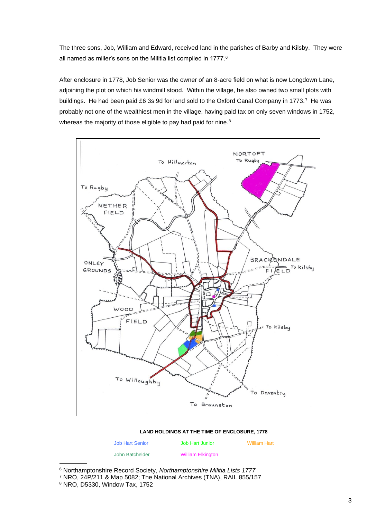The three sons, Job, William and Edward, received land in the parishes of Barby and Kilsby. They were all named as miller's sons on the Militia list compiled in 1777.<sup>6</sup>

After enclosure in 1778, Job Senior was the owner of an 8-acre field on what is now Longdown Lane, adjoining the plot on which his windmill stood. Within the village, he also owned two small plots with buildings. He had been paid £6 3s 9d for land sold to the Oxford Canal Company in 1773.<sup>7</sup> He was probably not one of the wealthiest men in the village, having paid tax on only seven windows in 1752, whereas the majority of those eligible to pay had paid for nine.<sup>8</sup>



#### **LAND HOLDINGS AT THE TIME OF ENCLOSURE, 1778**

Job Hart Senior Job Hart Junior William Hart

John Batchelder William Elkington

<sup>6</sup> Northamptonshire Record Society, *Northamptonshire Militia Lists 1777*

<sup>7</sup> NRO, 24P/211 & Map 5082; The National Archives (TNA), RAIL 855/157 <sup>8</sup> NRO, D5330, Window Tax, 1752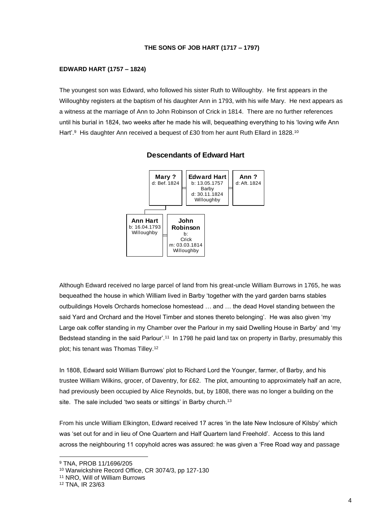#### **THE SONS OF JOB HART (1717 – 1797)**

#### **EDWARD HART (1757 – 1824)**

The youngest son was Edward, who followed his sister Ruth to Willoughby. He first appears in the Willoughby registers at the baptism of his daughter Ann in 1793, with his wife Mary. He next appears as a witness at the marriage of Ann to John Robinson of Crick in 1814. There are no further references until his burial in 1824, two weeks after he made his will, bequeathing everything to his 'loving wife Ann Hart'.<sup>9</sup> His daughter Ann received a bequest of £30 from her aunt Ruth Ellard in 1828.<sup>10</sup>





Although Edward received no large parcel of land from his great-uncle William Burrows in 1765, he was bequeathed the house in which William lived in Barby 'together with the yard garden barns stables outbuildings Hovels Orchards homeclose homestead … and … the dead Hovel standing between the said Yard and Orchard and the Hovel Timber and stones thereto belonging'. He was also given 'my Large oak coffer standing in my Chamber over the Parlour in my said Dwelling House in Barby' and 'my Bedstead standing in the said Parlour'.<sup>11</sup> In 1798 he paid land tax on property in Barby, presumably this plot; his tenant was Thomas Tilley.<sup>12</sup>

In 1808, Edward sold William Burrows' plot to Richard Lord the Younger, farmer, of Barby, and his trustee William Wilkins, grocer, of Daventry, for £62. The plot, amounting to approximately half an acre, had previously been occupied by Alice Reynolds, but, by 1808, there was no longer a building on the site. The sale included 'two seats or sittings' in Barby church.<sup>13</sup>

From his uncle William Elkington, Edward received 17 acres 'in the late New Inclosure of Kilsby' which was 'set out for and in lieu of One Quartern and Half Quartern land Freehold'. Access to this land across the neighbouring 11 copyhold acres was assured: he was given a 'Free Road way and passage

<sup>9</sup> TNA, PROB 11/1696/205

<sup>10</sup> Warwickshire Record Office, CR 3074/3, pp 127-130

<sup>11</sup> NRO, Will of William Burrows

<sup>12</sup> TNA, IR 23/63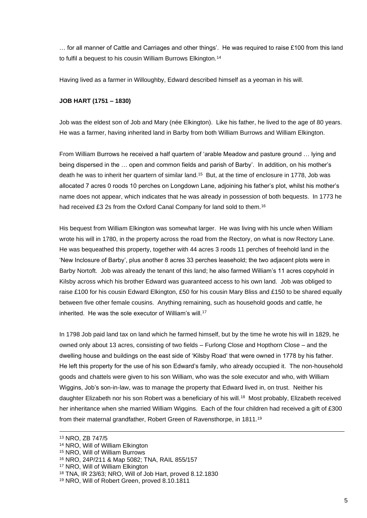… for all manner of Cattle and Carriages and other things'. He was required to raise £100 from this land to fulfil a bequest to his cousin William Burrows Elkington.<sup>14</sup>

Having lived as a farmer in Willoughby, Edward described himself as a yeoman in his will.

#### **JOB HART (1751 – 1830)**

Job was the eldest son of Job and Mary (née Elkington). Like his father, he lived to the age of 80 years. He was a farmer, having inherited land in Barby from both William Burrows and William Elkington.

From William Burrows he received a half quartern of 'arable Meadow and pasture ground … lying and being dispersed in the … open and common fields and parish of Barby'. In addition, on his mother's death he was to inherit her quartern of similar land.<sup>15</sup> But, at the time of enclosure in 1778, Job was allocated 7 acres 0 roods 10 perches on Longdown Lane, adjoining his father's plot, whilst his mother's name does not appear, which indicates that he was already in possession of both bequests. In 1773 he had received £3 2s from the Oxford Canal Company for land sold to them.<sup>16</sup>

His bequest from William Elkington was somewhat larger. He was living with his uncle when William wrote his will in 1780, in the property across the road from the Rectory, on what is now Rectory Lane. He was bequeathed this property, together with 44 acres 3 roods 11 perches of freehold land in the 'New Inclosure of Barby', plus another 8 acres 33 perches leasehold; the two adjacent plots were in Barby Nortoft. Job was already the tenant of this land; he also farmed William's 11 acres copyhold in Kilsby across which his brother Edward was guaranteed access to his own land. Job was obliged to raise £100 for his cousin Edward Elkington, £50 for his cousin Mary Bliss and £150 to be shared equally between five other female cousins. Anything remaining, such as household goods and cattle, he inherited. He was the sole executor of William's will.<sup>17</sup>

In 1798 Job paid land tax on land which he farmed himself, but by the time he wrote his will in 1829, he owned only about 13 acres, consisting of two fields – Furlong Close and Hopthorn Close – and the dwelling house and buildings on the east side of 'Kilsby Road' that were owned in 1778 by his father. He left this property for the use of his son Edward's family, who already occupied it. The non-household goods and chattels were given to his son William, who was the sole executor and who, with William Wiggins, Job's son-in-law, was to manage the property that Edward lived in, on trust. Neither his daughter Elizabeth nor his son Robert was a beneficiary of his will.<sup>18</sup> Most probably, Elizabeth received her inheritance when she married William Wiggins. Each of the four children had received a gift of £300 from their maternal grandfather, Robert Green of Ravensthorpe, in 1811.<sup>19</sup>

<sup>13</sup> NRO, ZB 747/5

<sup>14</sup> NRO, Will of William Elkington

<sup>15</sup> NRO, Will of William Burrows

<sup>16</sup> NRO, 24P/211 & Map 5082; TNA, RAIL 855/157

<sup>17</sup> NRO, Will of William Elkington

<sup>18</sup> TNA, IR 23/63; NRO, Will of Job Hart, proved 8.12.1830

<sup>19</sup> NRO, Will of Robert Green, proved 8.10.1811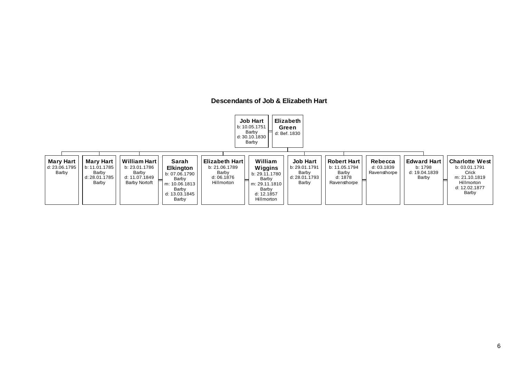#### **Descendants of Job & Elizabeth Hart**

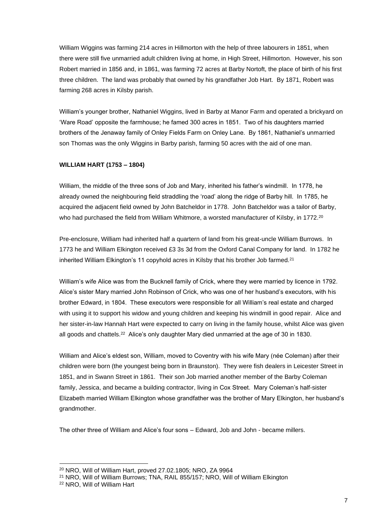William Wiggins was farming 214 acres in Hillmorton with the help of three labourers in 1851, when there were still five unmarried adult children living at home, in High Street, Hillmorton. However, his son Robert married in 1856 and, in 1861, was farming 72 acres at Barby Nortoft, the place of birth of his first three children. The land was probably that owned by his grandfather Job Hart. By 1871, Robert was farming 268 acres in Kilsby parish.

William's younger brother, Nathaniel Wiggins, lived in Barby at Manor Farm and operated a brickyard on 'Ware Road' opposite the farmhouse; he famed 300 acres in 1851. Two of his daughters married brothers of the Jenaway family of Onley Fields Farm on Onley Lane. By 1861, Nathaniel's unmarried son Thomas was the only Wiggins in Barby parish, farming 50 acres with the aid of one man.

#### **WILLIAM HART (1753 – 1804)**

William, the middle of the three sons of Job and Mary, inherited his father's windmill. In 1778, he already owned the neighbouring field straddling the 'road' along the ridge of Barby hill. In 1785, he acquired the adjacent field owned by John Batcheldor in 1778. John Batcheldor was a tailor of Barby, who had purchased the field from William Whitmore, a worsted manufacturer of Kilsby, in 1772.<sup>20</sup>

Pre-enclosure, William had inherited half a quartern of land from his great-uncle William Burrows. In 1773 he and William Elkington received £3 3s 3d from the Oxford Canal Company for land. In 1782 he inherited William Elkington's 11 copyhold acres in Kilsby that his brother Job farmed.<sup>21</sup>

William's wife Alice was from the Bucknell family of Crick, where they were married by licence in 1792. Alice's sister Mary married John Robinson of Crick, who was one of her husband's executors, with his brother Edward, in 1804. These executors were responsible for all William's real estate and charged with using it to support his widow and young children and keeping his windmill in good repair. Alice and her sister-in-law Hannah Hart were expected to carry on living in the family house, whilst Alice was given all goods and chattels.<sup>22</sup> Alice's only daughter Mary died unmarried at the age of 30 in 1830.

William and Alice's eldest son, William, moved to Coventry with his wife Mary (née Coleman) after their children were born (the youngest being born in Braunston). They were fish dealers in Leicester Street in 1851, and in Swann Street in 1861. Their son Job married another member of the Barby Coleman family, Jessica, and became a building contractor, living in Cox Street. Mary Coleman's half-sister Elizabeth married William Elkington whose grandfather was the brother of Mary Elkington, her husband's grandmother.

The other three of William and Alice's four sons – Edward, Job and John - became millers.

<sup>20</sup> NRO, Will of William Hart, proved 27.02.1805; NRO, ZA 9964

<sup>21</sup> NRO, Will of William Burrows; TNA, RAIL 855/157; NRO, Will of William Elkington

<sup>22</sup> NRO, Will of William Hart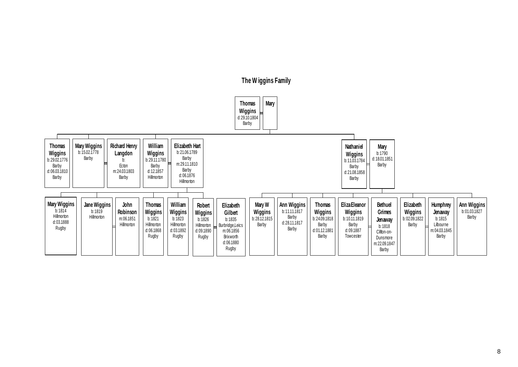

## **The W iggins Family**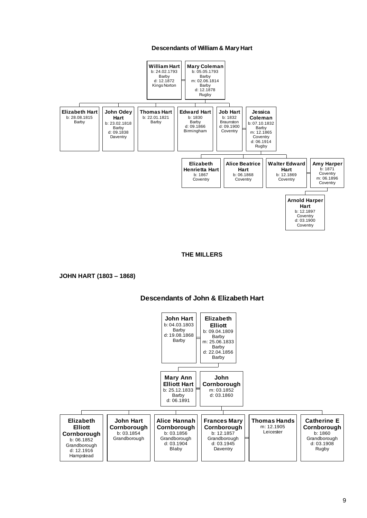#### **Descendants of William & Mary Hart**



#### **THE MILLERS**

#### **JOHN HART (1803 – 1868)**

#### **Descendants of John & Elizabeth Hart**

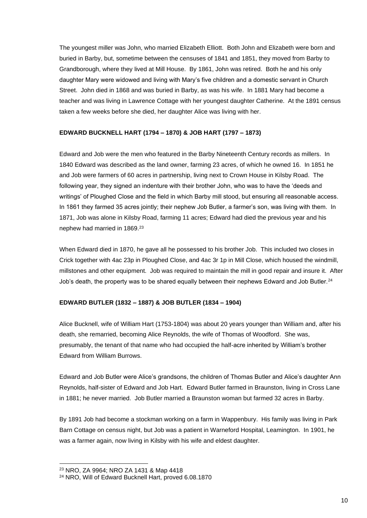The youngest miller was John, who married Elizabeth Elliott. Both John and Elizabeth were born and buried in Barby, but, sometime between the censuses of 1841 and 1851, they moved from Barby to Grandborough, where they lived at Mill House. By 1861, John was retired. Both he and his only daughter Mary were widowed and living with Mary's five children and a domestic servant in Church Street. John died in 1868 and was buried in Barby, as was his wife. In 1881 Mary had become a teacher and was living in Lawrence Cottage with her youngest daughter Catherine. At the 1891 census taken a few weeks before she died, her daughter Alice was living with her.

#### **EDWARD BUCKNELL HART (1794 – 1870) & JOB HART (1797 – 1873)**

Edward and Job were the men who featured in the Barby Nineteenth Century records as millers. In 1840 Edward was described as the land owner, farming 23 acres, of which he owned 16. In 1851 he and Job were farmers of 60 acres in partnership, living next to Crown House in Kilsby Road. The following year, they signed an indenture with their brother John, who was to have the 'deeds and writings' of Ploughed Close and the field in which Barby mill stood, but ensuring all reasonable access. In 1861 they farmed 35 acres jointly; their nephew Job Butler, a farmer's son, was living with them. In 1871, Job was alone in Kilsby Road, farming 11 acres; Edward had died the previous year and his nephew had married in 1869.<sup>23</sup>

When Edward died in 1870, he gave all he possessed to his brother Job. This included two closes in Crick together with 4ac 23p in Ploughed Close, and 4ac 3r 1p in Mill Close, which housed the windmill, millstones and other equipment. Job was required to maintain the mill in good repair and insure it. After Job's death, the property was to be shared equally between their nephews Edward and Job Butler.<sup>24</sup>

#### **EDWARD BUTLER (1832 – 1887) & JOB BUTLER (1834 – 1904)**

Alice Bucknell, wife of William Hart (1753-1804) was about 20 years younger than William and, after his death, she remarried, becoming Alice Reynolds, the wife of Thomas of Woodford. She was, presumably, the tenant of that name who had occupied the half-acre inherited by William's brother Edward from William Burrows.

Edward and Job Butler were Alice's grandsons, the children of Thomas Butler and Alice's daughter Ann Reynolds, half-sister of Edward and Job Hart. Edward Butler farmed in Braunston, living in Cross Lane in 1881; he never married. Job Butler married a Braunston woman but farmed 32 acres in Barby.

By 1891 Job had become a stockman working on a farm in Wappenbury. His family was living in Park Barn Cottage on census night, but Job was a patient in Warneford Hospital, Leamington. In 1901, he was a farmer again, now living in Kilsby with his wife and eldest daughter.

<sup>23</sup> NRO, ZA 9964; NRO ZA 1431 & Map 4418

<sup>24</sup> NRO, Will of Edward Bucknell Hart, proved 6.08.1870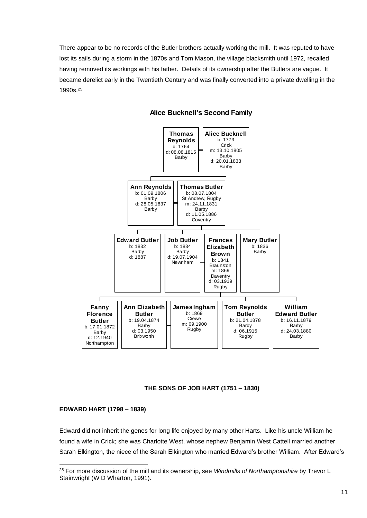There appear to be no records of the Butler brothers actually working the mill. It was reputed to have lost its sails during a storm in the 1870s and Tom Mason, the village blacksmith until 1972, recalled having removed its workings with his father. Details of its ownership after the Butlers are vague. It became derelict early in the Twentieth Century and was finally converted into a private dwelling in the 1990s.<sup>25</sup>



#### **Alice Bucknell's Second Family**

#### **THE SONS OF JOB HART (1751 – 1830)**

#### **EDWARD HART (1798 – 1839)**

Edward did not inherit the genes for long life enjoyed by many other Harts. Like his uncle William he found a wife in Crick; she was Charlotte West, whose nephew Benjamin West Cattell married another Sarah Elkington, the niece of the Sarah Elkington who married Edward's brother William. After Edward's

<sup>25</sup> For more discussion of the mill and its ownership, see *Windmills of Northamptonshire* by Trevor L Stainwright (W D Wharton, 1991).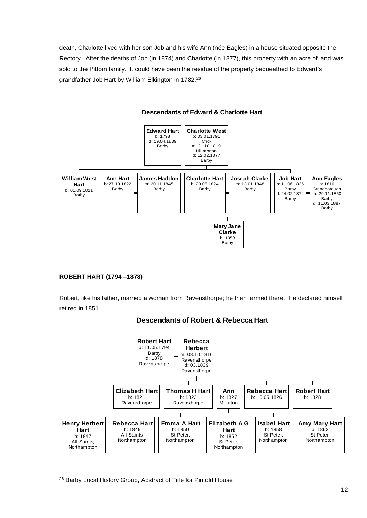death, Charlotte lived with her son Job and his wife Ann (née Eagles) in a house situated opposite the Rectory. After the deaths of Job (in 1874) and Charlotte (in 1877), this property with an acre of land was sold to the Pittom family. It could have been the residue of the property bequeathed to Edward's grandfather Job Hart by William Elkington in 1782.<sup>26</sup>



#### **Descendants of Edward & Charlotte Hart**

#### **ROBERT HART (1794 –1878)**

Robert, like his father, married a woman from Ravensthorpe; he then farmed there. He declared himself retired in 1851.



#### **Descendants of Robert & Rebecca Hart**

<sup>26</sup> Barby Local History Group, Abstract of Title for Pinfold House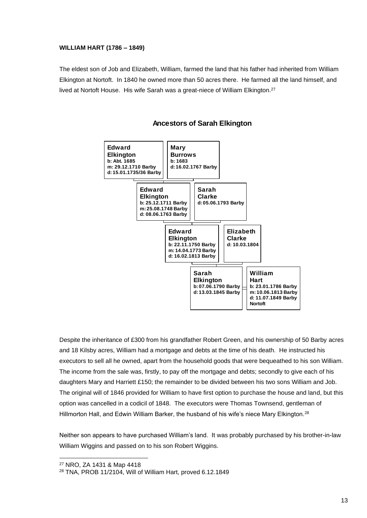#### **WILLIAM HART (1786 – 1849)**

The eldest son of Job and Elizabeth, William, farmed the land that his father had inherited from William Elkington at Nortoft. In 1840 he owned more than 50 acres there. He farmed all the land himself, and lived at Nortoft House. His wife Sarah was a great-niece of William Elkington.<sup>27</sup>



#### **Ancestors of Sarah Elkington**

Despite the inheritance of £300 from his grandfather Robert Green, and his ownership of 50 Barby acres and 18 Kilsby acres, William had a mortgage and debts at the time of his death. He instructed his executors to sell all he owned, apart from the household goods that were bequeathed to his son William. The income from the sale was, firstly, to pay off the mortgage and debts; secondly to give each of his daughters Mary and Harriett £150; the remainder to be divided between his two sons William and Job. The original will of 1846 provided for William to have first option to purchase the house and land, but this option was cancelled in a codicil of 1848. The executors were Thomas Townsend, gentleman of Hillmorton Hall, and Edwin William Barker, the husband of his wife's niece Mary Elkington.<sup>28</sup>

Neither son appears to have purchased William's land. It was probably purchased by his brother-in-law William Wiggins and passed on to his son Robert Wiggins.

<sup>27</sup> NRO, ZA 1431 & Map 4418

<sup>28</sup> TNA, PROB 11/2104, Will of William Hart, proved 6.12.1849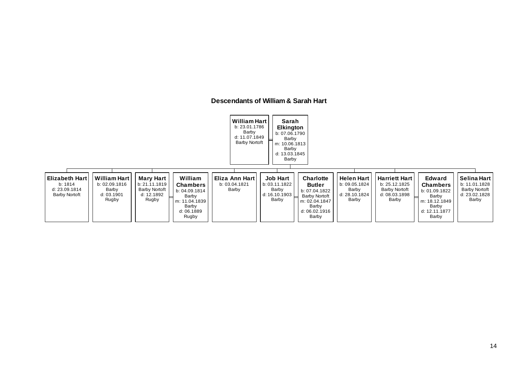#### **Descendants of William & Sarah Hart**

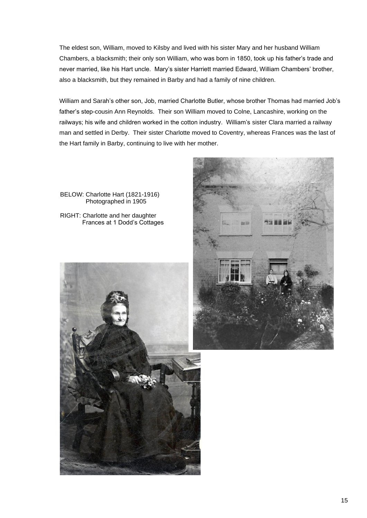The eldest son, William, moved to Kilsby and lived with his sister Mary and her husband William Chambers, a blacksmith; their only son William, who was born in 1850, took up his father's trade and never married, like his Hart uncle. Mary's sister Harriett married Edward, William Chambers' brother, also a blacksmith, but they remained in Barby and had a family of nine children.

William and Sarah's other son, Job, married Charlotte Butler, whose brother Thomas had married Job's father's step-cousin Ann Reynolds. Their son William moved to Colne, Lancashire, working on the railways; his wife and children worked in the cotton industry. William's sister Clara married a railway man and settled in Derby. Their sister Charlotte moved to Coventry, whereas Frances was the last of the Hart family in Barby, continuing to live with her mother.

BELOW: Charlotte Hart (1821-1916) Photographed in 1905

RIGHT: Charlotte and her daughter Frances at 1 Dodd's Cottages



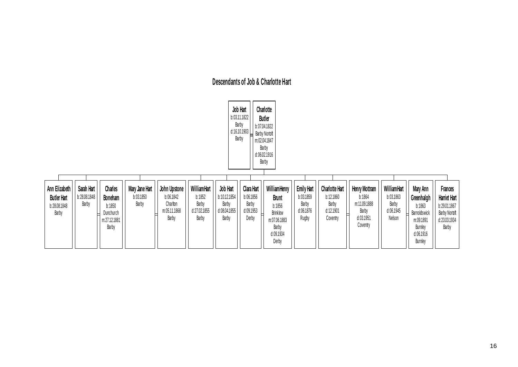# **Descendants of Job & Charlotte Hart**

| Job Hart<br>b:03.11.1822<br>d:16.10.1903                     |                                     |                                                                    |                                      |                                                                |                                                         |                                                            |                                                        | Charlotte<br><b>Butler</b><br>b:07.04.1822<br><b>Barby Nortoft</b><br>m:02.04.1847<br>Barby<br>d:06.02.1916<br>Barby |                                                               |                                                                      |                                                                                |                                                          |                                                                                                  |                                                                                          |
|--------------------------------------------------------------|-------------------------------------|--------------------------------------------------------------------|--------------------------------------|----------------------------------------------------------------|---------------------------------------------------------|------------------------------------------------------------|--------------------------------------------------------|----------------------------------------------------------------------------------------------------------------------|---------------------------------------------------------------|----------------------------------------------------------------------|--------------------------------------------------------------------------------|----------------------------------------------------------|--------------------------------------------------------------------------------------------------|------------------------------------------------------------------------------------------|
| Ann Elizabeth<br><b>Butler Hart</b><br>b:28.08.1848<br>Barby | Sarah Hart<br>b:28.08.1848<br>Barby | Charles<br>Boneham<br>b:1850<br>Dunchurch<br>m:27.12.1881<br>Barby | Mary Jane Hart<br>b:03.1850<br>Barby | John Upstone<br>b:06.1842<br>Charlton<br>m:05.11.1868<br>Barby | WilliamHart<br>b:1852<br>Barby<br>d:27.02.1855<br>Barby | Job Hart<br>b:10.12.1854<br>Barby<br>d:08.04.1855<br>Barby | Clara Hart<br>b:06.1856<br>Barby<br>d:09.1953<br>Derby | WilliamHenry<br><b>Brunt</b><br>b:1856<br><b>Brinklow</b><br>m:07.06.1883<br>Barby<br>d:09.1934<br>Derby             | <b>Emily Hart</b><br>b:03.1859<br>Barby<br>d:06.1876<br>Rugby | <b>Charlotte Hart</b><br>b:12.1860<br>Barby<br>d:12.1901<br>Coventry | Henry Mottram<br>b:1864<br>m:11.09.1888<br>Barby<br>╘<br>d:03.1951<br>Coventry | WilliamHart<br>b:03.1863<br>Barby<br>d:06.1945<br>Nelson | Mary Ann<br>Greenhalgh<br>b:1863<br>Barnoldswick<br>m:09.1891<br>Burnley<br>d:06.1916<br>Burnley | <b>Frances</b><br>Harriet Hart<br>b:29.01.1867<br>Barby Nortoft<br>d:23.03.1934<br>Barby |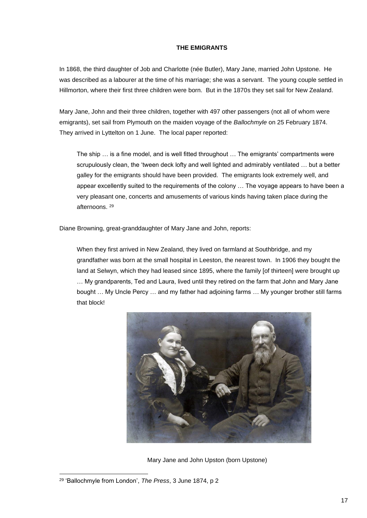#### **THE EMIGRANTS**

In 1868, the third daughter of Job and Charlotte (née Butler), Mary Jane, married John Upstone. He was described as a labourer at the time of his marriage; she was a servant. The young couple settled in Hillmorton, where their first three children were born. But in the 1870s they set sail for New Zealand.

Mary Jane, John and their three children, together with 497 other passengers (not all of whom were emigrants), set sail from Plymouth on the maiden voyage of the *Ballochmyle* on 25 February 1874. They arrived in Lyttelton on 1 June. The local paper reported:

The ship … is a fine model, and is well fitted throughout … The emigrants' compartments were scrupulously clean, the 'tween deck lofty and well lighted and admirably ventilated … but a better galley for the emigrants should have been provided. The emigrants look extremely well, and appear excellently suited to the requirements of the colony … The voyage appears to have been a very pleasant one, concerts and amusements of various kinds having taken place during the afternoons. <sup>29</sup>

Diane Browning, great-granddaughter of Mary Jane and John, reports:

When they first arrived in New Zealand, they lived on farmland at Southbridge, and my grandfather was born at the small hospital in Leeston, the nearest town. In 1906 they bought the land at Selwyn, which they had leased since 1895, where the family [of thirteen] were brought up … My grandparents, Ted and Laura, lived until they retired on the farm that John and Mary Jane bought … My Uncle Percy … and my father had adjoining farms … My younger brother still farms that block!



Mary Jane and John Upston (born Upstone)

<sup>29</sup> 'Ballochmyle from London', *The Press*, 3 June 1874, p 2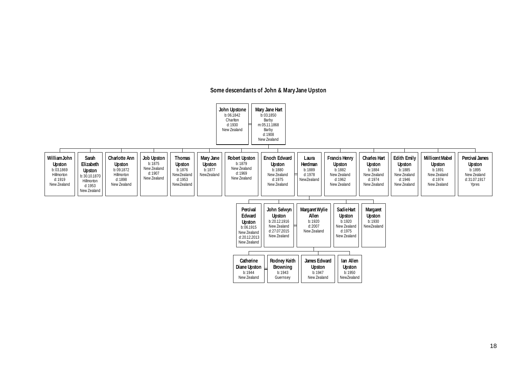### **Some descendants of John & Mary Jane Upston**

|                                                                                  |                                                                                     |                                                                                           |                                                              |                                                                         |                                             | John Upstone<br>b:06.1842<br>Charlton<br>d:1930<br>New Zealand                          | Mary Jane Hart<br>b:03.1850<br>Barby<br>m:05.11.1868<br>Barby<br>d:1908<br>New Zealand     |                                                                   |                                                                                   |                                                                                          |                                                                                |                                                                                           |                                                                            |
|----------------------------------------------------------------------------------|-------------------------------------------------------------------------------------|-------------------------------------------------------------------------------------------|--------------------------------------------------------------|-------------------------------------------------------------------------|---------------------------------------------|-----------------------------------------------------------------------------------------|--------------------------------------------------------------------------------------------|-------------------------------------------------------------------|-----------------------------------------------------------------------------------|------------------------------------------------------------------------------------------|--------------------------------------------------------------------------------|-------------------------------------------------------------------------------------------|----------------------------------------------------------------------------|
| WilliamJohn<br><b>Upston</b><br>b:03.1869<br>Hillmorton<br>d:1919<br>New Zealand | Sarah<br>Elizabeth<br>Upston<br>b:30.10.1870<br>Hillmorton<br>d:1953<br>New Zealand | <b>Charlotte Ann</b><br><b>Upston</b><br>b:09.1872<br>Hillmorton<br>d:1898<br>New Zealand | Job Upston<br>b:1875<br>New Zealand<br>d:1907<br>New Zealand | <b>Thomas</b><br>Upston<br>b:1876<br>NewZealand<br>d:1953<br>NewZealand | Mary Jane<br>Upston<br>b:1877<br>NewZealand | <b>Robert Upston</b><br>b:1879<br>New Zealand<br>d:1969<br>New Zealand                  | Enoch Edward<br><b>Upston</b><br>b:1880<br>New Zealand<br>d:1975<br>New Zealand            | Laura<br>Herdman<br>b:1889<br>d:1978<br>NewZealand                | <b>Francis Henry</b><br>Upston<br>b:1882<br>New Zealand<br>d: 1962<br>New Zealand | <b>Charles Hart</b><br><b>Upston</b><br>b: 1884<br>New Zealand<br>d: 1974<br>New Zealand | <b>Edith Emily</b><br>Upston<br>b:1885<br>New Zealand<br>d:1946<br>New Zealand | <b>Millicent Mabel</b><br><b>Upston</b><br>b:1891<br>New Zealand<br>d:1974<br>New Zealand | Percival James<br>Upston<br>b:1895<br>New Zealand<br>d:31.07.1917<br>Ypres |
|                                                                                  |                                                                                     |                                                                                           |                                                              |                                                                         |                                             | Percival<br>Edward<br>Upston<br>b:06.1915<br>New Zealand<br>d:20.12.2013<br>New Zealand | John Selwyn<br><b>Upston</b><br>b:20.12.1916<br>New Zealand<br>d:27.07.2015<br>New Zealand | <b>Margaret Wylie</b><br>Allen<br>b:1920<br>d:2007<br>New Zealand | <b>Sadie Hart</b><br>Upston<br>b:1920<br>New Zealand<br>d:1975<br>New Zealand     | Margaret<br>Upston<br>b:1930<br>NewZealand                                               |                                                                                |                                                                                           |                                                                            |
|                                                                                  |                                                                                     |                                                                                           |                                                              |                                                                         |                                             | Catherine<br>Diane Upston<br>b:1944<br>New Zealand                                      | <b>Rodney Keith</b><br>Browning<br>b:1943<br>Guernsey                                      | James Edward<br>Upston<br>b:1947<br>New Zealand                   | lan Allen<br><b>Upston</b><br>b:1950<br>NewZealand                                |                                                                                          |                                                                                |                                                                                           |                                                                            |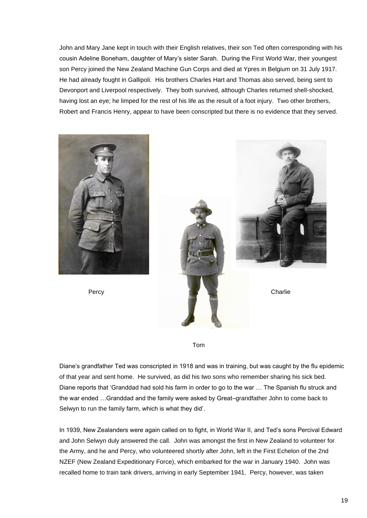John and Mary Jane kept in touch with their English relatives, their son Ted often corresponding with his cousin Adeline Boneham, daughter of Mary's sister Sarah. During the First World War, their youngest son Percy joined the New Zealand Machine Gun Corps and died at Ypres in Belgium on 31 July 1917. He had already fought in Gallipoli. His brothers Charles Hart and Thomas also served, being sent to Devonport and Liverpool respectively. They both survived, although Charles returned shell-shocked, having lost an eye; he limped for the rest of his life as the result of a foot injury. Two other brothers, Robert and Francis Henry, appear to have been conscripted but there is no evidence that they served.







Diane's grandfather Ted was conscripted in 1918 and was in training, but was caught by the flu epidemic of that year and sent home. He survived, as did his two sons who remember sharing his sick bed. Diane reports that 'Granddad had sold his farm in order to go to the war … The Spanish flu struck and the war ended …Granddad and the family were asked by Great–grandfather John to come back to Selwyn to run the family farm, which is what they did'.

In 1939, New Zealanders were again called on to fight, in World War II, and Ted's sons Percival Edward and John Selwyn duly answered the call. John was amongst the first in New Zealand to volunteer for the Army, and he and Percy, who volunteered shortly after John, left in the First Echelon of the 2nd NZEF (New Zealand Expeditionary Force), which embarked for the war in January 1940. John was recalled home to train tank drivers, arriving in early September 1941. Percy, however, was taken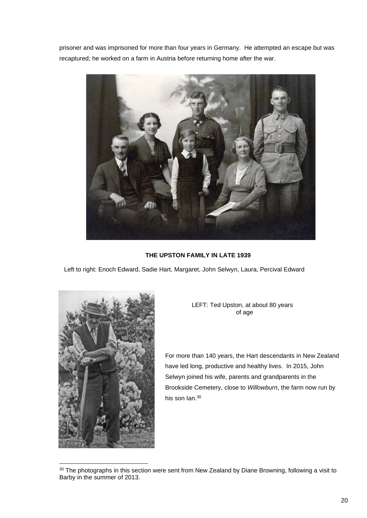prisoner and was imprisoned for more than four years in Germany. He attempted an escape but was recaptured; he worked on a farm in Austria before returning home after the war.



#### **THE UPSTON FAMILY IN LATE 1939**

Left to right: Enoch Edward, Sadie Hart, Margaret, John Selwyn, Laura, Percival Edward



LEFT: Ted Upston, at about 80 years of age

For more than 140 years, the Hart descendants in New Zealand have led long, productive and healthy lives. In 2015, John Selwyn joined his wife, parents and grandparents in the Brookside Cemetery, close to *Willowburn*, the farm now run by his son Ian.<sup>30</sup>

<sup>&</sup>lt;sup>30</sup> The photographs in this section were sent from New Zealand by Diane Browning, following a visit to Barby in the summer of 2013.